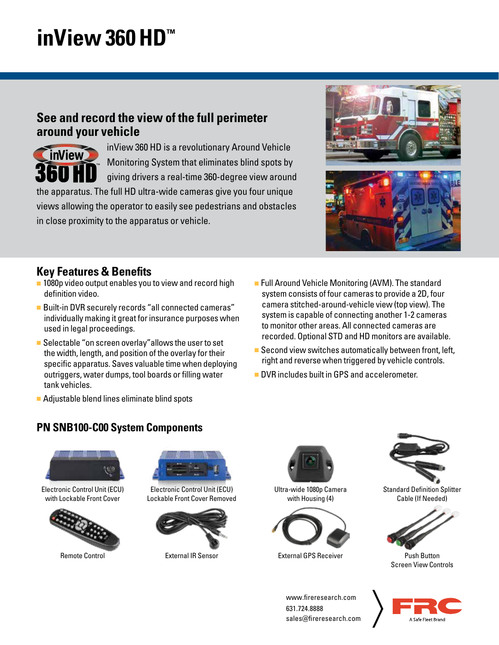## **inView 360 HD™**

### **See and record the view of the full perimeter around your vehicle**



inView 360 HD is a revolutionary Around Vehicle Monitoring System that eliminates blind spots by giving drivers a real-time 360-degree view around

the apparatus. The full HD ultra-wide cameras give you four unique views allowing the operator to easily see pedestrians and obstacles in close proximity to the apparatus or vehicle.



- 1080p video output enables you to view and record high definition video.
- Built-in DVR securely records "all connected cameras" individually making it great for insurance purposes when used in legal proceedings.
- Selectable "on screen overlay" allows the user to set the width, length, and position of the overlay for their specific apparatus. Saves valuable time when deploying outriggers, water dumps, tool boards or filling water tank vehicles.
- Full Around Vehicle Monitoring (AVM). The standard system consists of four cameras to provide a 2D, four camera stitched-around-vehicle view (top view). The system is capable of connecting another 1-2 cameras to monitor other areas. All connected cameras are recorded. Optional STD and HD monitors are available.
- Second view switches automatically between front, left, right and reverse when triggered by vehicle controls.
- DVR includes built in GPS and accelerometer.
- Adjustable blend lines eliminate blind spots

#### **PN SNB100-C00 System Components**



Electronic Control Unit (ECU) with Lockable Front Cover



Remote Control



Electronic Control Unit (ECU) Lockable Front Cover Removed



External IR Sensor



Ultra-wide 1080p Camera with Housing (4)



External GPS Receiver



Standard Definition Splitter Cable (If Needed)



Push Button Screen View Controls

www.fireresearch.com 631.724.8888 sales@fireresearch.com